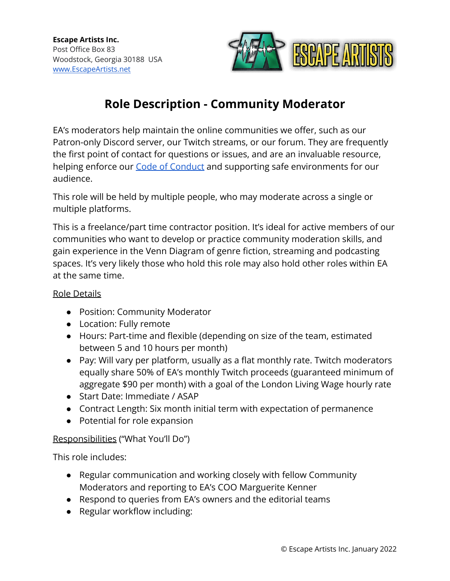

# **Role Description - Community Moderator**

EA's moderators help maintain the online communities we offer, such as our Patron-only Discord server, our Twitch streams, or our forum. They are frequently the first point of contact for questions or issues, and are an invaluable resource, helping enforce our [Code of Conduct](https://escapeartists.net/code-of-conduct/) and supporting safe environments for our audience.

This role will be held by multiple people, who may moderate across a single or multiple platforms.

This is a freelance/part time contractor position. It's ideal for active members of our communities who want to develop or practice community moderation skills, and gain experience in the Venn Diagram of genre fiction, streaming and podcasting spaces. It's very likely those who hold this role may also hold other roles within EA at the same time.

# Role Details

- Position: Community Moderator
- Location: Fully remote
- Hours: Part-time and flexible (depending on size of the team, estimated between 5 and 10 hours per month)
- Pay: Will vary per platform, usually as a flat monthly rate. Twitch moderators equally share 50% of EA's monthly Twitch proceeds (guaranteed minimum of aggregate \$90 per month) with a goal of the London Living Wage hourly rate
- Start Date: Immediate / ASAP
- Contract Length: Six month initial term with expectation of permanence
- Potential for role expansion

# Responsibilities ("What You'll Do")

This role includes:

- Regular communication and working closely with fellow Community Moderators and reporting to EA's COO Marguerite Kenner
- Respond to queries from EA's owners and the editorial teams
- Regular workflow including: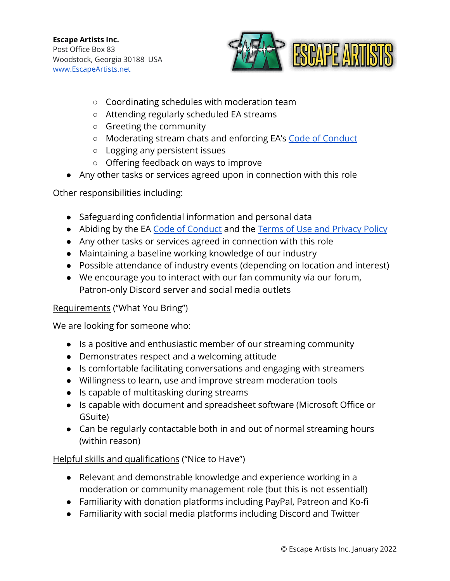

- Coordinating schedules with moderation team
- Attending regularly scheduled EA streams
- Greeting the community
- Moderating stream chats and enforcing EA's Code of [Conduct](https://escapeartists.net/code-of-conduct/)
- Logging any persistent issues
- Offering feedback on ways to improve
- Any other tasks or services agreed upon in connection with this role

Other responsibilities including:

- Safeguarding confidential information and personal data
- Abiding by the EA [Code of Conduct](https://escapeartists.net/code-of-conduct/) and the Terms of [Use and Privacy Policy](https://escapeartists.net/about-ea/legal/)
- Any other tasks or services agreed in connection with this role
- Maintaining a baseline working knowledge of our industry
- Possible attendance of industry events (depending on location and interest)
- We encourage you to interact with our fan community via our forum, Patron-only Discord server and social media outlets

#### Requirements ("What You Bring")

We are looking for someone who:

- Is a positive and enthusiastic member of our streaming community
- Demonstrates respect and a welcoming attitude
- Is comfortable facilitating conversations and engaging with streamers
- Willingness to learn, use and improve stream moderation tools
- Is capable of multitasking during streams
- Is capable with document and spreadsheet software (Microsoft Office or GSuite)
- Can be regularly contactable both in and out of normal streaming hours (within reason)

# Helpful skills and qualifications ("Nice to Have")

- Relevant and demonstrable knowledge and experience working in a moderation or community management role (but this is not essential!)
- Familiarity with donation platforms including PayPal, Patreon and Ko-fi
- Familiarity with social media platforms including Discord and Twitter